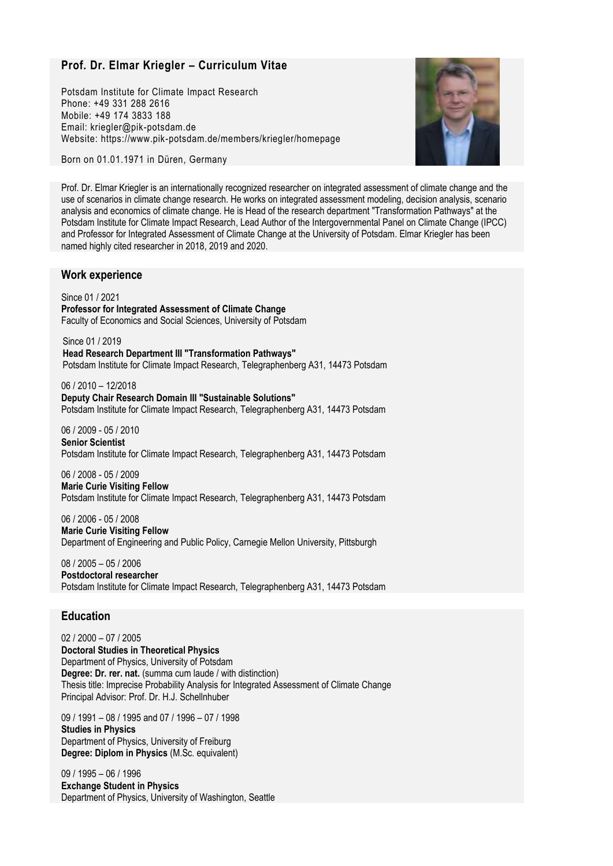# **Prof. Dr. Elmar Kriegler – Curriculum Vitae**

Potsdam Institute for Climate Impact Research Phone: +49 331 288 2616 Mobile: +49 174 3833 188 Email: kriegler@pik-potsdam.de Website: https://www.pik-potsdam.de/members/kriegler/homepage



Born on 01.01.1971 in Düren, Germany

Prof. Dr. Elmar Kriegler is an internationally recognized researcher on integrated assessment of climate change and the use of scenarios in climate change research. He works on integrated assessment modeling, decision analysis, scenario analysis and economics of climate change. He is Head of the research department "Transformation Pathways" at the Potsdam Institute for Climate Impact Research, Lead Author of the Intergovernmental Panel on Climate Change (IPCC) and Professor for Integrated Assessment of Climate Change at the University of Potsdam. Elmar Kriegler has been named highly cited researcher in 2018, 2019 and 2020.

# **Work experience**

Since 01 / 2021 **Professor for Integrated Assessment of Climate Change** Faculty of Economics and Social Sciences, University of Potsdam

Since 01 / 2019 **Head Research Department III "Transformation Pathways"** Potsdam Institute for Climate Impact Research, Telegraphenberg A31, 14473 Potsdam

06 / 2010 – 12/2018 **Deputy Chair Research Domain III "Sustainable Solutions"** Potsdam Institute for Climate Impact Research, Telegraphenberg A31, 14473 Potsdam

06 / 2009 - 05 / 2010 **Senior Scientist** Potsdam Institute for Climate Impact Research, Telegraphenberg A31, 14473 Potsdam

06 / 2008 - 05 / 2009 **Marie Curie Visiting Fellow** Potsdam Institute for Climate Impact Research, Telegraphenberg A31, 14473 Potsdam

06 / 2006 - 05 / 2008 **Marie Curie Visiting Fellow** Department of Engineering and Public Policy, Carnegie Mellon University, Pittsburgh

08 / 2005 – 05 / 2006 **Postdoctoral researcher** Potsdam Institute for Climate Impact Research, Telegraphenberg A31, 14473 Potsdam

# **Education**

02 / 2000 – 07 / 2005 **Doctoral Studies in Theoretical Physics** Department of Physics, University of Potsdam **Degree: Dr. rer. nat.** (summa cum laude / with distinction) Thesis title: Imprecise Probability Analysis for Integrated Assessment of Climate Change Principal Advisor: Prof. Dr. H.J. Schellnhuber

09 / 1991 – 08 / 1995 and 07 / 1996 – 07 / 1998 **Studies in Physics** Department of Physics, University of Freiburg **Degree: Diplom in Physics** (M.Sc. equivalent)

09 / 1995 – 06 / 1996 **Exchange Student in Physics** Department of Physics, University of Washington, Seattle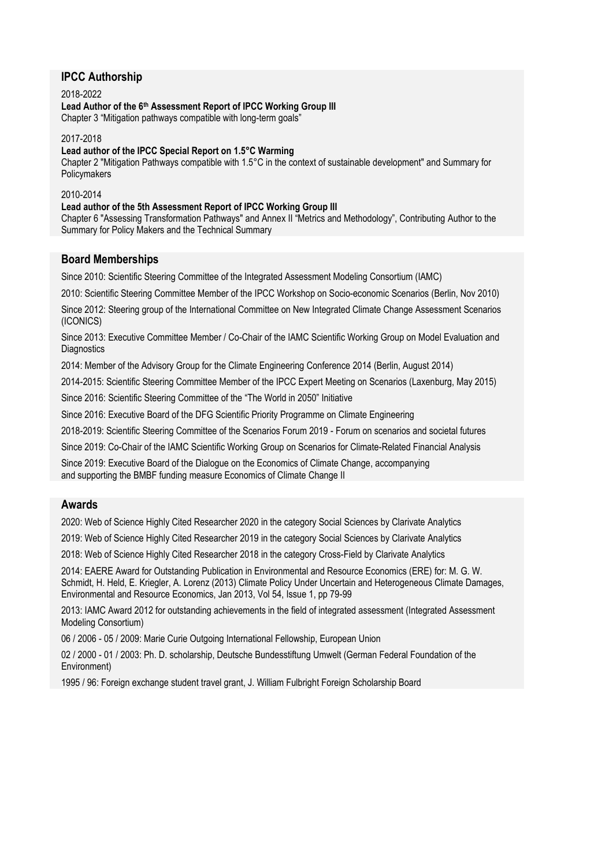# **IPCC Authorship**

2018-2022 **Lead Author of the 6th Assessment Report of IPCC Working Group III** Chapter 3 "Mitigation pathways compatible with long-term goals"

2017-2018

**Lead author of the IPCC Special Report on 1.5°C Warming**

Chapter 2 "Mitigation Pathways compatible with 1.5°C in the context of sustainable development" and Summary for Policymakers

2010-2014

**Lead author of the 5th Assessment Report of IPCC Working Group III**

Chapter 6 "Assessing Transformation Pathways" and Annex II "Metrics and Methodology", Contributing Author to the Summary for Policy Makers and the Technical Summary

# **Board Memberships**

Since 2010: Scientific Steering Committee of the Integrated Assessment Modeling Consortium (IAMC)

2010: Scientific Steering Committee Member of the IPCC Workshop on Socio-economic Scenarios (Berlin, Nov 2010)

Since 2012: Steering group of the International Committee on New Integrated Climate Change Assessment Scenarios (ICONICS)

Since 2013: Executive Committee Member / Co-Chair of the IAMC Scientific Working Group on Model Evaluation and **Diagnostics** 

2014: Member of the Advisory Group for the Climate Engineering Conference 2014 (Berlin, August 2014)

2014-2015: Scientific Steering Committee Member of the IPCC Expert Meeting on Scenarios (Laxenburg, May 2015)

Since 2016: Scientific Steering Committee of the "The World in 2050" Initiative

Since 2016: Executive Board of the DFG Scientific Priority Programme on Climate Engineering

2018-2019: Scientific Steering Committee of the Scenarios Forum 2019 - Forum on scenarios and societal futures

Since 2019: Co-Chair of the IAMC Scientific Working Group on Scenarios for Climate-Related Financial Analysis

Since 2019: Executive Board of the Dialogue on the Economics of Climate Change, accompanying

and supporting the BMBF funding measure Economics of Climate Change II

# **Awards**

2020: Web of Science Highly Cited Researcher 2020 in the category Social Sciences by Clarivate Analytics

2019: Web of Science Highly Cited Researcher 2019 in the category Social Sciences by Clarivate Analytics

2018: Web of Science Highly Cited Researcher 2018 in the category Cross-Field by Clarivate Analytics

2014: EAERE Award for Outstanding Publication in Environmental and Resource Economics (ERE) for: M. G. W. Schmidt, H. Held, E. Kriegler, A. Lorenz (2013) Climate Policy Under Uncertain and Heterogeneous Climate Damages, Environmental and Resource Economics, Jan 2013, Vol 54, Issue 1, pp 79-99

2013: IAMC Award 2012 for outstanding achievements in the field of integrated assessment (Integrated Assessment Modeling Consortium)

06 / 2006 - 05 / 2009: Marie Curie Outgoing International Fellowship, European Union

02 / 2000 - 01 / 2003: Ph. D. scholarship, Deutsche Bundesstiftung Umwelt (German Federal Foundation of the Environment)

1995 / 96: Foreign exchange student travel grant, J. William Fulbright Foreign Scholarship Board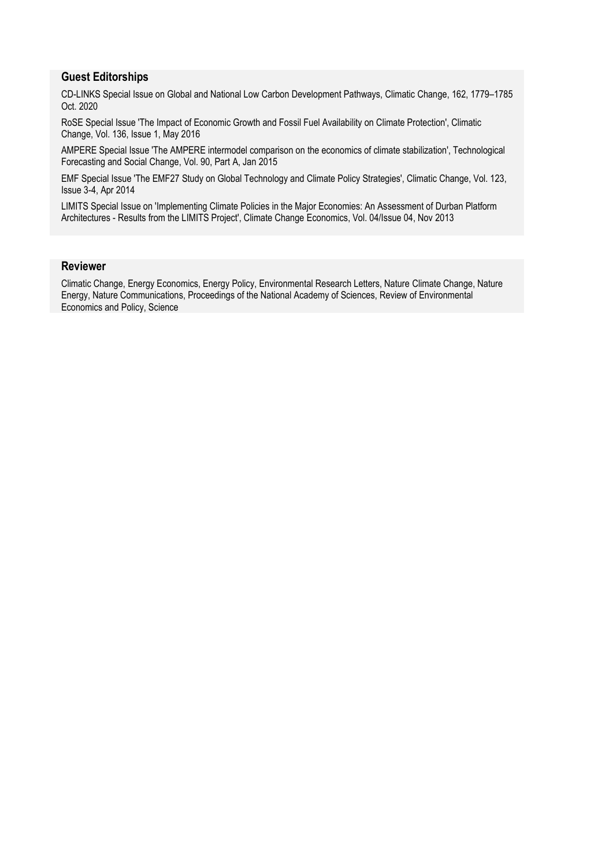# **Guest Editorships**

CD-LINKS Special Issue on Global and National Low Carbon Development Pathways, Climatic Change, 162, 1779–1785 Oct. 2020

RoSE Special Issue 'The Impact of Economic Growth and Fossil Fuel Availability on Climate Protection', Climatic Change, Vol. 136, Issue 1, May 2016

AMPERE Special Issue 'The AMPERE intermodel comparison on the economics of climate stabilization', Technological Forecasting and Social Change, Vol. 90, Part A, Jan 2015

EMF Special Issue 'The EMF27 Study on Global Technology and Climate Policy Strategies', Climatic Change, Vol. 123, Issue 3-4, Apr 2014

LIMITS Special Issue on 'Implementing Climate Policies in the Major Economies: An Assessment of Durban Platform Architectures - Results from the LIMITS Project', Climate Change Economics, Vol. 04/Issue 04, Nov 2013

# **Reviewer**

Climatic Change, Energy Economics, Energy Policy, Environmental Research Letters, Nature Climate Change, Nature Energy, Nature Communications, Proceedings of the National Academy of Sciences, Review of Environmental Economics and Policy, Science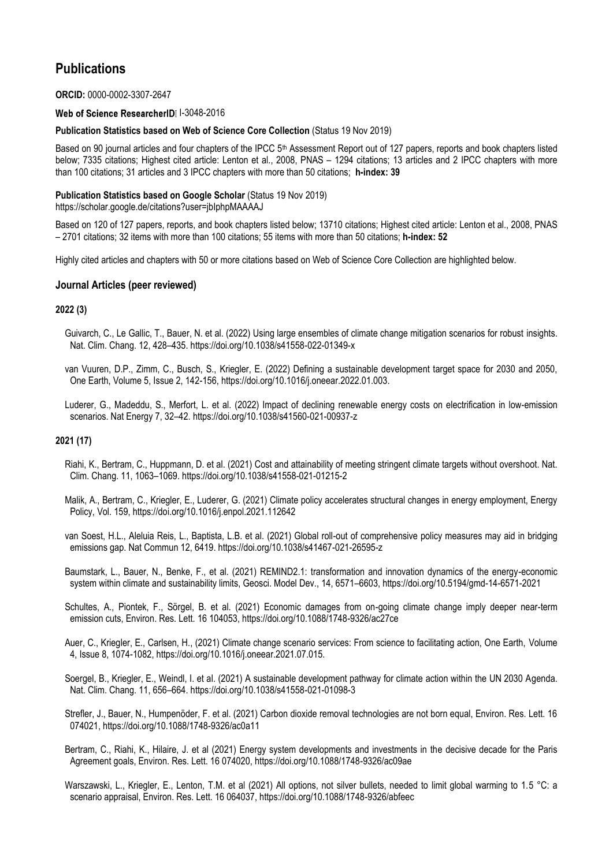# **Publications**

# **ORCID:** 0000-0002-3307-2647

# Web of Science ResearcherID 1-3048-2016

# **Publication Statistics based on Web of Science Core Collection** (Status 19 Nov 2019)

Based on 90 journal articles and four chapters of the IPCC 5<sup>th</sup> Assessment Report out of 127 papers, reports and book chapters listed below; 7335 citations; Highest cited article: Lenton et al., 2008, PNAS – 1294 citations; 13 articles and 2 IPCC chapters with more than 100 citations; 31 articles and 3 IPCC chapters with more than 50 citations; **h-index: 39**

# **Publication Statistics based on Google Scholar** (Status 19 Nov 2019)

<https://scholar.google.de/citations?user=jbIphpMAAAAJ>

Based on 120 of 127 papers, reports, and book chapters listed below; 13710 citations; Highest cited article: Lenton et al., 2008, PNAS – 2701 citations; 32 items with more than 100 citations; 55 items with more than 50 citations; **h-index: 52**

Highly cited articles and chapters with 50 or more citations based on Web of Science Core Collection are highlighted below.

# **Journal Articles (peer reviewed)**

# **2022 (3)**

 Guivarch, C., Le Gallic, T., Bauer, N. et al. (2022) Using large ensembles of climate change mitigation scenarios for robust insights. Nat. Clim. Chang. 12, 428–435. https://doi.org/10.1038/s41558-022-01349-x

 van Vuuren, D.P., Zimm, C., Busch, S., Kriegler, E. (2022) Defining a sustainable development target space for 2030 and 2050, One Earth, Volume 5, Issue 2, 142-156, https://doi.org/10.1016/j.oneear.2022.01.003.

 Luderer, G., Madeddu, S., Merfort, L. et al. (2022) Impact of declining renewable energy costs on electrification in low-emission scenarios. Nat Energy 7, 32–42. https://doi.org/10.1038/s41560-021-00937-z

# **2021 (17)**

 Riahi, K., Bertram, C., Huppmann, D. et al. (2021) Cost and attainability of meeting stringent climate targets without overshoot. Nat. Clim. Chang. 11, 1063–1069. https://doi.org/10.1038/s41558-021-01215-2

 Malik, A., Bertram, C., Kriegler, E., Luderer, G. (2021) Climate policy accelerates structural changes in energy employment, Energy Policy, Vol. 159, https://doi.org/10.1016/j.enpol.2021.112642

 van Soest, H.L., Aleluia Reis, L., Baptista, L.B. et al. (2021) Global roll-out of comprehensive policy measures may aid in bridging emissions gap. Nat Commun 12, 6419. https://doi.org/10.1038/s41467-021-26595-z

 Baumstark, L., Bauer, N., Benke, F., et al. (2021) REMIND2.1: transformation and innovation dynamics of the energy-economic system within climate and sustainability limits, Geosci. Model Dev., 14, 6571–6603, https://doi.org/10.5194/gmd-14-6571-2021

 Schultes, A., Piontek, F., Sörgel, B. et al. (2021) Economic damages from on-going climate change imply deeper near-term emission cuts, Environ. Res. Lett. 16 104053, https://doi.org/10.1088/1748-9326/ac27ce

 Auer, C., Kriegler, E., Carlsen, H., (2021) Climate change scenario services: From science to facilitating action, One Earth, Volume 4, Issue 8, 1074-1082, https://doi.org/10.1016/j.oneear.2021.07.015.

 Soergel, B., Kriegler, E., Weindl, I. et al. (2021) A sustainable development pathway for climate action within the UN 2030 Agenda. Nat. Clim. Chang. 11, 656–664. https://doi.org/10.1038/s41558-021-01098-3

 Strefler, J., Bauer, N., Humpenöder, F. et al. (2021) Carbon dioxide removal technologies are not born equal, Environ. Res. Lett. 16 074021, https://doi.org/10.1088/1748-9326/ac0a11

 Bertram, C., Riahi, K., Hilaire, J. et al (2021) Energy system developments and investments in the decisive decade for the Paris Agreement goals, Environ. Res. Lett. 16 074020, https://doi.org/10.1088/1748-9326/ac09ae

Warszawski, L., Kriegler, E., Lenton, T.M. et al (2021) All options, not silver bullets, needed to limit global warming to 1.5 °C: a scenario appraisal, Environ. Res. Lett. 16 064037, https://doi.org/10.1088/1748-9326/abfeec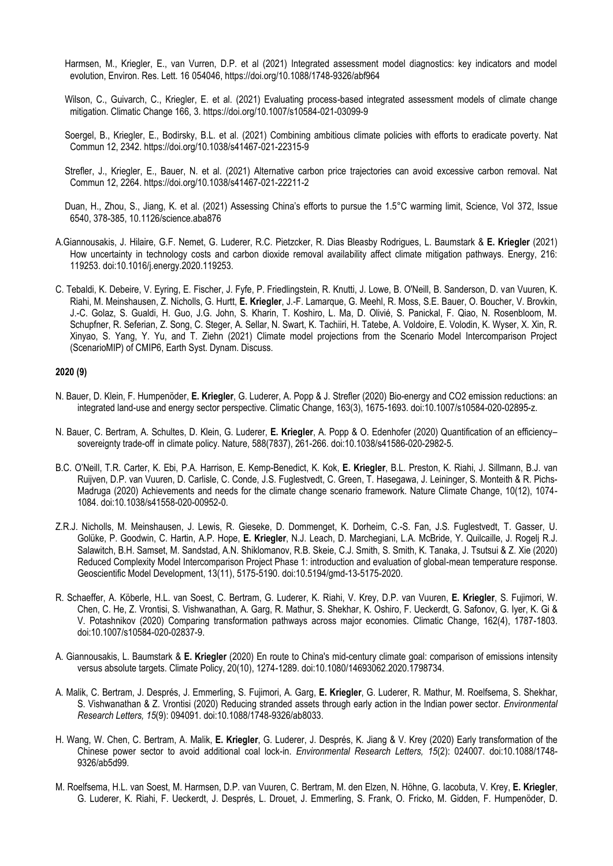- Harmsen, M., Kriegler, E., van Vurren, D.P. et al (2021) Integrated assessment model diagnostics: key indicators and model evolution, Environ. Res. Lett. 16 054046, https://doi.org/10.1088/1748-9326/abf964
- Wilson, C., Guivarch, C., Kriegler, E. et al. (2021) Evaluating process-based integrated assessment models of climate change mitigation. Climatic Change 166, 3. https://doi.org/10.1007/s10584-021-03099-9
- Soergel, B., Kriegler, E., Bodirsky, B.L. et al. (2021) Combining ambitious climate policies with efforts to eradicate poverty. Nat Commun 12, 2342. https://doi.org/10.1038/s41467-021-22315-9
- Strefler, J., Kriegler, E., Bauer, N. et al. (2021) Alternative carbon price trajectories can avoid excessive carbon removal. Nat Commun 12, 2264. https://doi.org/10.1038/s41467-021-22211-2
- Duan, H., Zhou, S., Jiang, K. et al. (2021) Assessing China's efforts to pursue the 1.5°C warming limit, Science, Vol 372, Issue 6540, 378-385, 10.1126/science.aba876
- A.Giannousakis, J. Hilaire, G.F. Nemet, G. Luderer, R.C. Pietzcker, R. Dias Bleasby Rodrigues, L. Baumstark & **E. Kriegler** (2021) How uncertainty in technology costs and carbon dioxide removal availability affect climate mitigation pathways. Energy, 216: 119253. doi:10.1016/j.energy.2020.119253.
- C. Tebaldi, K. Debeire, V. Eyring, E. Fischer, J. Fyfe, P. Friedlingstein, R. Knutti, J. Lowe, B. O'Neill, B. Sanderson, D. van Vuuren, K. Riahi, M. Meinshausen, Z. Nicholls, G. Hurtt, **E. Kriegler**, J.-F. Lamarque, G. Meehl, R. Moss, S.E. Bauer, O. Boucher, V. Brovkin, J.-C. Golaz, S. Gualdi, H. Guo, J.G. John, S. Kharin, T. Koshiro, L. Ma, D. Olivié, S. Panickal, F. Qiao, N. Rosenbloom, M. Schupfner, R. Seferian, Z. Song, C. Steger, A. Sellar, N. Swart, K. Tachiiri, H. Tatebe, A. Voldoire, E. Volodin, K. Wyser, X. Xin, R. Xinyao, S. Yang, Y. Yu, and T. Ziehn (2021) Climate model projections from the Scenario Model Intercomparison Project (ScenarioMIP) of CMIP6, Earth Syst. Dynam. Discuss.

#### **2020 (9)**

- N. Bauer, D. Klein, F. Humpenöder, **E. Kriegler**, G. Luderer, A. Popp & J. Strefler (2020) Bio-energy and CO2 emission reductions: an integrated land-use and energy sector perspective. Climatic Change, 163(3), 1675-1693. doi:10.1007/s10584-020-02895-z.
- N. Bauer, C. Bertram, A. Schultes, D. Klein, G. Luderer, **E. Kriegler**, A. Popp & O. Edenhofer (2020) Quantification of an efficiency– sovereignty trade-off in climate policy. Nature, 588(7837), 261-266. doi:10.1038/s41586-020-2982-5.
- B.C. O'Neill, T.R. Carter, K. Ebi, P.A. Harrison, E. Kemp-Benedict, K. Kok, **E. Kriegler**, B.L. Preston, K. Riahi, J. Sillmann, B.J. van Ruijven, D.P. van Vuuren, D. Carlisle, C. Conde, J.S. Fuglestvedt, C. Green, T. Hasegawa, J. Leininger, S. Monteith & R. Pichs-Madruga (2020) Achievements and needs for the climate change scenario framework. Nature Climate Change, 10(12), 1074- 1084. doi:10.1038/s41558-020-00952-0.
- Z.R.J. Nicholls, M. Meinshausen, J. Lewis, R. Gieseke, D. Dommenget, K. Dorheim, C.-S. Fan, J.S. Fuglestvedt, T. Gasser, U. Golüke, P. Goodwin, C. Hartin, A.P. Hope, **E. Kriegler**, N.J. Leach, D. Marchegiani, L.A. McBride, Y. Quilcaille, J. Rogelj R.J. Salawitch, B.H. Samset, M. Sandstad, A.N. Shiklomanov, R.B. Skeie, C.J. Smith, S. Smith, K. Tanaka, J. Tsutsui & Z. Xie (2020) Reduced Complexity Model Intercomparison Project Phase 1: introduction and evaluation of global-mean temperature response. Geoscientific Model Development, 13(11), 5175-5190. doi:10.5194/gmd-13-5175-2020.
- R. Schaeffer, A. Köberle, H.L. van Soest, C. Bertram, G. Luderer, K. Riahi, V. Krey, D.P. van Vuuren, **E. Kriegler**, S. Fujimori, W. Chen, C. He, Z. Vrontisi, S. Vishwanathan, A. Garg, R. Mathur, S. Shekhar, K. Oshiro, F. Ueckerdt, G. Safonov, G. Iyer, K. Gi & V. Potashnikov (2020) Comparing transformation pathways across major economies. Climatic Change, 162(4), 1787-1803. doi:10.1007/s10584-020-02837-9.
- A. Giannousakis, L. Baumstark & **E. Kriegler** (2020) En route to China's mid-century climate goal: comparison of emissions intensity versus absolute targets. Climate Policy, 20(10), 1274-1289. doi:10.1080/14693062.2020.1798734.
- A. Malik, C. Bertram, J. Després, J. Emmerling, S. Fujimori, A. Garg, **E. Kriegler**, G. Luderer, R. Mathur, M. Roelfsema, S. Shekhar, S. Vishwanathan & Z. Vrontisi (2020) Reducing stranded assets through early action in the Indian power sector. *Environmental Research Letters, 15*(9): 094091. doi:10.1088/1748-9326/ab8033.
- H. Wang, W. Chen, C. Bertram, A. Malik, **E. Kriegler**, G. Luderer, J. Després, K. Jiang & V. Krey (2020) Early transformation of the Chinese power sector to avoid additional coal lock-in. *Environmental Research Letters, 15*(2): 024007. doi:10.1088/1748- 9326/ab5d99.
- M. Roelfsema, H.L. van Soest, M. Harmsen, D.P. van Vuuren, C. Bertram, M. den Elzen, N. Höhne, G. Iacobuta, V. Krey, **E. Kriegler**, G. Luderer, K. Riahi, F. Ueckerdt, J. Després, L. Drouet, J. Emmerling, S. Frank, O. Fricko, M. Gidden, F. Humpenöder, D.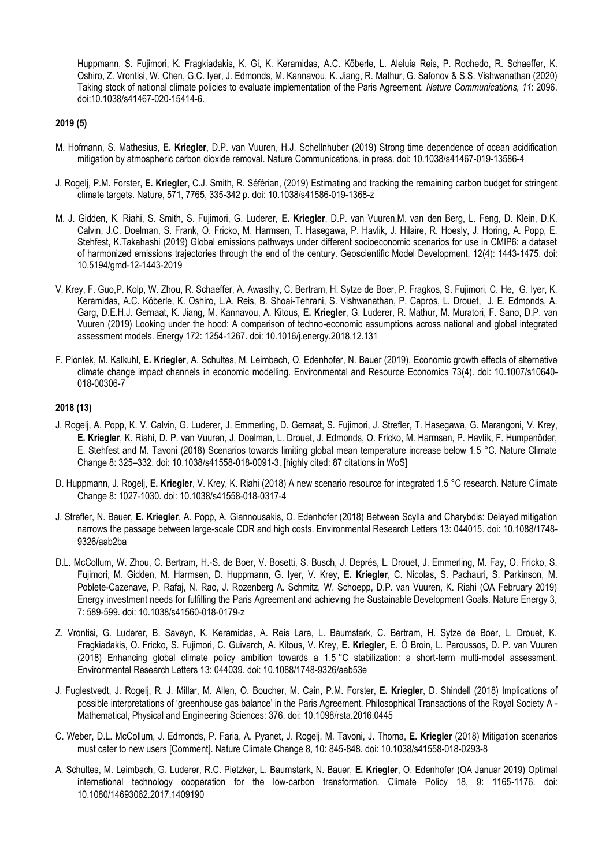Huppmann, S. Fujimori, K. Fragkiadakis, K. Gi, K. Keramidas, A.C. Köberle, L. Aleluia Reis, P. Rochedo, R. Schaeffer, K. Oshiro, Z. Vrontisi, W. Chen, G.C. Iyer, J. Edmonds, M. Kannavou, K. Jiang, R. Mathur, G. Safonov & S.S. Vishwanathan (2020) Taking stock of national climate policies to evaluate implementation of the Paris Agreement. *Nature Communications, 11*: 2096. doi:10.1038/s41467-020-15414-6.

### **2019 (5)**

- M. Hofmann, S. Mathesius, **E. Kriegler**, D.P. van Vuuren, H.J. Schellnhuber (2019) Strong time dependence of ocean acidification mitigation by atmospheric carbon dioxide removal. Nature Communications, in press. doi: 10.1038/s41467-019-13586-4
- J. Rogelj, P.M. Forster, **E. Kriegler**, C.J. Smith, R. Séférian, (2019) Estimating and tracking the remaining carbon budget for stringent climate targets. Nature, 571, 7765, 335-342 p. doi: 10.1038/s41586-019-1368-z
- M. J. Gidden, K. Riahi, S. Smith, S. Fujimori, G. Luderer, **E. Kriegler**, D.P. van Vuuren,M. van den Berg, L. Feng, D. Klein, D.K. Calvin, J.C. Doelman, S. Frank, O. Fricko, M. Harmsen, T. Hasegawa, P. Havlik, J. Hilaire, R. Hoesly, J. Horing, A. Popp, E. Stehfest, K.Takahashi (2019) Global emissions pathways under different socioeconomic scenarios for use in CMIP6: a dataset of harmonized emissions trajectories through the end of the century. Geoscientific Model Development, 12(4): 1443-1475. doi: 10.5194/gmd-12-1443-2019
- V. Krey, F. Guo,P. Kolp, W. Zhou, R. Schaeffer, A. Awasthy, C. Bertram, H. Sytze de Boer, P. Fragkos, S. Fujimori, C. He, G. Iyer, K. Keramidas, A.C. Köberle, K. Oshiro, L.A. Reis, B. Shoai-Tehrani, S. Vishwanathan, P. Capros, L. Drouet, J. E. Edmonds, A. Garg, D.E.H.J. Gernaat, K. Jiang, M. Kannavou, A. Kitous, **E. Kriegler**, G. Luderer, R. Mathur, M. Muratori, F. Sano, D.P. van Vuuren (2019) Looking under the hood: A comparison of techno-economic assumptions across national and global integrated assessment models. Energy 172: 1254-1267. doi: 10.1016/j.energy.2018.12.131
- F. Piontek, M. Kalkuhl, **E. Kriegler**, A. Schultes, M. Leimbach, O. Edenhofer, N. Bauer (2019), Economic growth effects of alternative climate change impact channels in economic modelling. Environmental and Resource Economics 73(4). doi: 10.1007/s10640- 018-00306-7

# **2018 (13)**

- J. Rogelj, A. Popp, K. V. Calvin, G. Luderer, J. Emmerling, D. Gernaat, S. Fujimori, J. Strefler, T. Hasegawa, G. Marangoni, V. Krey, **E. Kriegler**, K. Riahi, D. P. van Vuuren, J. Doelman, L. Drouet, J. Edmonds, O. Fricko, M. Harmsen, P. Havlík, F. Humpenöder, E. Stehfest and M. Tavoni (2018) Scenarios towards limiting global mean temperature increase below 1.5 °C. Nature Climate Change 8: 325–332. doi: 10.1038/s41558-018-0091-3. [highly cited: 87 citations in WoS]
- D. Huppmann, J. Rogelj, **E. Kriegler**, V. Krey, K. Riahi (2018) A new scenario resource for integrated 1.5 °C research. Nature Climate Change 8: 1027-1030. doi: 10.1038/s41558-018-0317-4
- J. Strefler, N. Bauer, **E. Kriegler**, A. Popp, A. Giannousakis, O. Edenhofer (2018) Between Scylla and Charybdis: Delayed mitigation narrows the passage between large-scale CDR and high costs. Environmental Research Letters 13: 044015. doi: 10.1088/1748- 9326/aab2ba
- D.L. McCollum, W. Zhou, C. Bertram, H.-S. de Boer, V. Bosetti, S. Busch, J. Deprés, L. Drouet, J. Emmerling, M. Fay, O. Fricko, S. Fujimori, M. Gidden, M. Harmsen, D. Huppmann, G. Iyer, V. Krey, **E. Kriegler**, C. Nicolas, S. Pachauri, S. Parkinson, M. Poblete-Cazenave, P. Rafaj, N. Rao, J. Rozenberg A. Schmitz, W. Schoepp, D.P. van Vuuren, K. Riahi (OA February 2019) Energy investment needs for fulfilling the Paris Agreement and achieving the Sustainable Development Goals. Nature Energy 3, 7: 589-599. doi: 10.1038/s41560-018-0179-z
- Z. Vrontisi, G. Luderer, B. Saveyn, K. Keramidas, A. Reis Lara, L. Baumstark, C. Bertram, H. Sytze de Boer, L. Drouet, K. Fragkiadakis, O. Fricko, S. Fujimori, C. Guivarch, A. Kitous, V. Krey, **E. Kriegler**, E. Ó Broin, L. Paroussos, D. P. van Vuuren (2018) Enhancing global climate policy ambition towards a 1.5 °C stabilization: a short-term multi-model assessment. Environmental Research Letters 13: 044039. doi: 10.1088/1748-9326/aab53e
- J. Fuglestvedt, J. Rogelj, R. J. Millar, M. Allen, O. Boucher, M. Cain, P.M. Forster, **E. Kriegler**, D. Shindell (2018) Implications of possible interpretations of 'greenhouse gas balance' in the Paris Agreement. Philosophical Transactions of the Royal Society A - Mathematical, Physical and Engineering Sciences: 376. doi: 10.1098/rsta.2016.0445
- C. Weber, D.L. McCollum, J. Edmonds, P. Faria, A. Pyanet, J. Rogelj, M. Tavoni, J. Thoma, **E. Kriegler** (2018) Mitigation scenarios must cater to new users [Comment]. Nature Climate Change 8, 10: 845-848. doi: 10.1038/s41558-018-0293-8
- A. Schultes, M. Leimbach, G. Luderer, R.C. Pietzker, L. Baumstark, N. Bauer, **E. Kriegler**, O. Edenhofer (OA Januar 2019) Optimal international technology cooperation for the low-carbon transformation. Climate Policy 18, 9: 1165-1176. doi: 10.1080/14693062.2017.1409190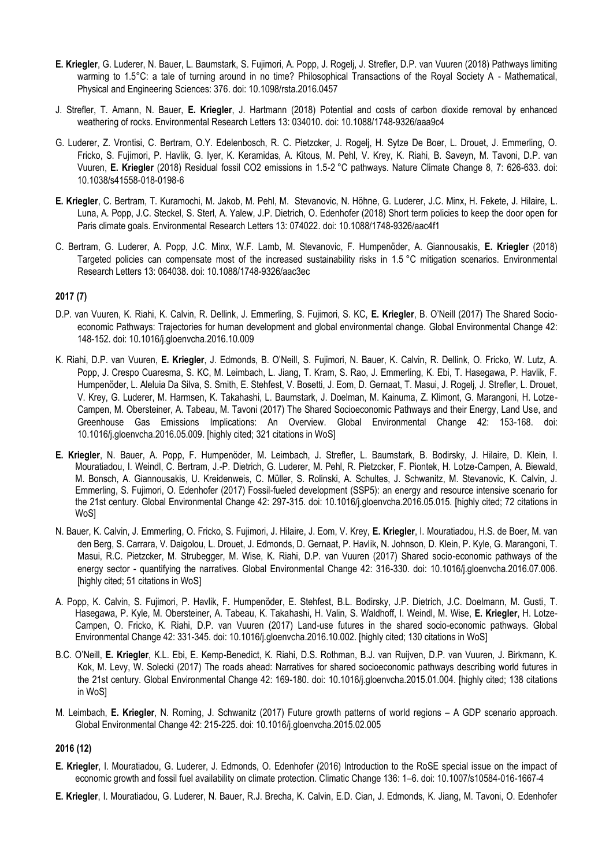- **E. Kriegler**, G. Luderer, N. Bauer, L. Baumstark, S. Fujimori, A. Popp, J. Rogelj, J. Strefler, D.P. van Vuuren (2018) Pathways limiting warming to 1.5°C: a tale of turning around in no time? Philosophical Transactions of the Royal Society A - Mathematical, Physical and Engineering Sciences: 376. doi: 10.1098/rsta.2016.0457
- J. Strefler, T. Amann, N. Bauer, **E. Kriegler**, J. Hartmann (2018) Potential and costs of carbon dioxide removal by enhanced weathering of rocks. Environmental Research Letters 13: 034010. doi: 10.1088/1748-9326/aaa9c4
- G. Luderer, Z. Vrontisi, C. Bertram, O.Y. Edelenbosch, R. C. Pietzcker, J. Rogelj, H. Sytze De Boer, L. Drouet, J. Emmerling, O. Fricko, S. Fujimori, P. Havlik, G. Iyer, K. Keramidas, A. Kitous, M. Pehl, V. Krey, K. Riahi, B. Saveyn, M. Tavoni, D.P. van Vuuren, **E. Kriegler** (2018) Residual fossil CO2 emissions in 1.5-2 °C pathways. Nature Climate Change 8, 7: 626-633. doi: 10.1038/s41558-018-0198-6
- **E. Kriegler**, C. Bertram, T. Kuramochi, M. Jakob, M. Pehl, M. Stevanovic, N. Höhne, G. Luderer, J.C. Minx, H. Fekete, J. Hilaire, L. Luna, A. Popp, J.C. Steckel, S. Sterl, A. Yalew, J.P. Dietrich, O. Edenhofer (2018) Short term policies to keep the door open for Paris climate goals. Environmental Research Letters 13: 074022. doi: 10.1088/1748-9326/aac4f1
- C. Bertram, G. Luderer, A. Popp, J.C. Minx, W.F. Lamb, M. Stevanovic, F. Humpenöder, A. Giannousakis, **E. Kriegler** (2018) Targeted policies can compensate most of the increased sustainability risks in 1.5 °C mitigation scenarios. Environmental Research Letters 13: 064038. doi: 10.1088/1748-9326/aac3ec

# **2017 (7)**

- D.P. van Vuuren, K. Riahi, K. Calvin, R. Dellink, J. Emmerling, S. Fujimori, S. KC, **E. Kriegler**, B. O'Neill (2017) The Shared Socioeconomic Pathways: Trajectories for human development and global environmental change. Global Environmental Change 42: 148-152. doi: 10.1016/j.gloenvcha.2016.10.009
- K. Riahi, D.P. van Vuuren, **E. Kriegler**, J. Edmonds, B. O'Neill, S. Fujimori, N. Bauer, K. Calvin, R. Dellink, O. Fricko, W. Lutz, A. Popp, J. Crespo Cuaresma, S. KC, M. Leimbach, L. Jiang, T. Kram, S. Rao, J. Emmerling, K. Ebi, T. Hasegawa, P. Havlik, F. Humpenöder, L. Aleluia Da Silva, S. Smith, E. Stehfest, V. Bosetti, J. Eom, D. Gernaat, T. Masui, J. Rogelj, J. Strefler, L. Drouet, V. Krey, G. Luderer, M. Harmsen, K. Takahashi, L. Baumstark, J. Doelman, M. Kainuma, Z. Klimont, G. Marangoni, H. Lotze-Campen, M. Obersteiner, A. Tabeau, M. Tavoni (2017) The Shared Socioeconomic Pathways and their Energy, Land Use, and Greenhouse Gas Emissions Implications: An Overview. Global Environmental Change 42: 153-168. doi: 10.1016/j.gloenvcha.2016.05.009. [highly cited; 321 citations in WoS]
- **E. Kriegler**, N. Bauer, A. Popp, F. Humpenöder, M. Leimbach, J. Strefler, L. Baumstark, B. Bodirsky, J. Hilaire, D. Klein, I. Mouratiadou, I. Weindl, C. Bertram, J.-P. Dietrich, G. Luderer, M. Pehl, R. Pietzcker, F. Piontek, H. Lotze-Campen, A. Biewald, M. Bonsch, A. Giannousakis, U. Kreidenweis, C. Müller, S. Rolinski, A. Schultes, J. Schwanitz, M. Stevanovic, K. Calvin, J. Emmerling, S. Fujimori, O. Edenhofer (2017) Fossil-fueled development (SSP5): an energy and resource intensive scenario for the 21st century. Global Environmental Change 42: 297-315. doi: 10.1016/j.gloenvcha.2016.05.015. [highly cited; 72 citations in WoS]
- N. Bauer, K. Calvin, J. Emmerling, O. Fricko, S. Fujimori, J. Hilaire, J. Eom, V. Krey, **E. Kriegler**, I. Mouratiadou, H.S. de Boer, M. van den Berg, S. Carrara, V. Daigolou, L. Drouet, J. Edmonds, D. Gernaat, P. Havlik, N. Johnson, D. Klein, P. Kyle, G. Marangoni, T. Masui, R.C. Pietzcker, M. Strubegger, M. Wise, K. Riahi, D.P. van Vuuren (2017) Shared socio-economic pathways of the energy sector - quantifying the narratives. Global Environmental Change 42: 316-330. doi: 10.1016/j.gloenvcha.2016.07.006. [highly cited; 51 citations in WoS]
- A. Popp, K. Calvin, S. Fujimori, P. Havlik, F. Humpenöder, E. Stehfest, B.L. Bodirsky, J.P. Dietrich, J.C. Doelmann, M. Gusti, T. Hasegawa, P. Kyle, M. Obersteiner, A. Tabeau, K. Takahashi, H. Valin, S. Waldhoff, I. Weindl, M. Wise, **E. Kriegler**, H. Lotze-Campen, O. Fricko, K. Riahi, D.P. van Vuuren (2017) Land-use futures in the shared socio-economic pathways. Global Environmental Change 42: 331-345. doi: 10.1016/j.gloenvcha.2016.10.002. [highly cited; 130 citations in WoS]
- B.C. O'Neill, **E. Kriegler**, K.L. Ebi, E. Kemp-Benedict, K. Riahi, D.S. Rothman, B.J. van Ruijven, D.P. van Vuuren, J. Birkmann, K. Kok, M. Levy, W. Solecki (2017) The roads ahead: Narratives for shared socioeconomic pathways describing world futures in the 21st century. Global Environmental Change 42: 169-180. doi: 10.1016/j.gloenvcha.2015.01.004. [highly cited; 138 citations in WoS]
- M. Leimbach, **E. Kriegler**, N. Roming, J. Schwanitz (2017) Future growth patterns of world regions A GDP scenario approach. Global Environmental Change 42: 215-225. doi: 10.1016/j.gloenvcha.2015.02.005

# **2016 (12)**

- **E. Kriegler**, I. Mouratiadou, G. Luderer, J. Edmonds, O. Edenhofer (2016) Introduction to the RoSE special issue on the impact of economic growth and fossil fuel availability on climate protection. Climatic Change 136: 1–6. doi: 10.1007/s10584-016-1667-4
- **E. Kriegler**, I. Mouratiadou, G. Luderer, N. Bauer, R.J. Brecha, K. Calvin, E.D. Cian, J. Edmonds, K. Jiang, M. Tavoni, O. Edenhofer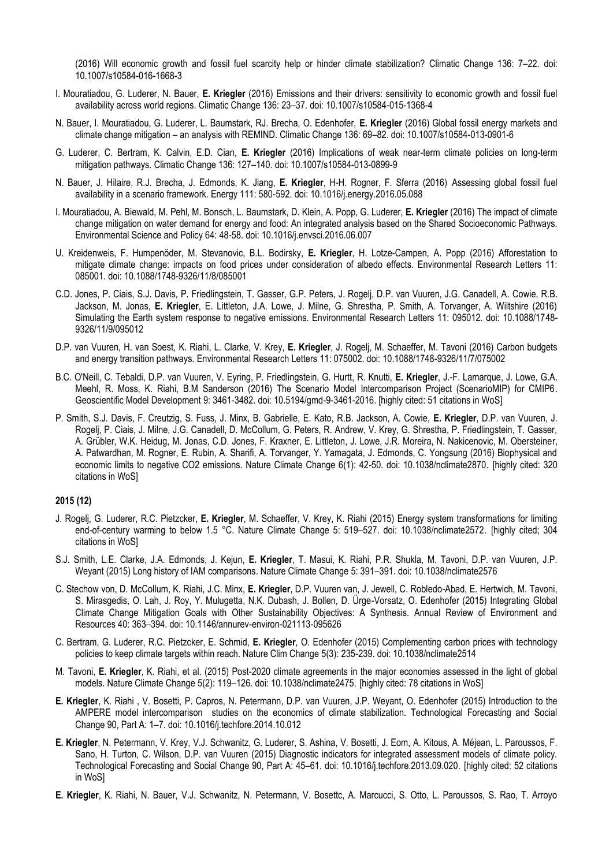(2016) Will economic growth and fossil fuel scarcity help or hinder climate stabilization? Climatic Change 136: 7–22. doi: 10.1007/s10584-016-1668-3

- I. Mouratiadou, G. Luderer, N. Bauer, **E. Kriegler** (2016) Emissions and their drivers: sensitivity to economic growth and fossil fuel availability across world regions. Climatic Change 136: 23–37. doi: 10.1007/s10584-015-1368-4
- N. Bauer, I. Mouratiadou, G. Luderer, L. Baumstark, RJ. Brecha, O. Edenhofer, **E. Kriegler** (2016) Global fossil energy markets and climate change mitigation – an analysis with REMIND. Climatic Change 136: 69–82. doi: 10.1007/s10584-013-0901-6
- G. Luderer, C. Bertram, K. Calvin, E.D. Cian, **E. Kriegler** (2016) Implications of weak near-term climate policies on long-term mitigation pathways. Climatic Change 136: 127–140. doi: 10.1007/s10584-013-0899-9
- N. Bauer, J. Hilaire, R.J. Brecha, J. Edmonds, K. Jiang, **E. Kriegler**, H-H. Rogner, F. Sferra (2016) Assessing global fossil fuel availability in a scenario framework. Energy 111: 580-592. doi: 10.1016/j.energy.2016.05.088
- I. Mouratiadou, A. Biewald, M. Pehl, M. Bonsch, L. Baumstark, D. Klein, A. Popp, G. Luderer, **E. Kriegler** (2016) The impact of climate change mitigation on water demand for energy and food: An integrated analysis based on the Shared Socioeconomic Pathways. Environmental Science and Policy 64: 48-58. doi: 10.1016/j.envsci.2016.06.007
- U. Kreidenweis, F. Humpenöder, M. Stevanovic, B.L. Bodirsky, **E. Kriegler**, H. Lotze-Campen, A. Popp (2016) Afforestation to mitigate climate change: impacts on food prices under consideration of albedo effects. Environmental Research Letters 11: 085001. doi: 10.1088/1748-9326/11/8/085001
- C.D. Jones, P. Ciais, S.J. Davis, P. Friedlingstein, T. Gasser, G.P. Peters, J. Rogelj, D.P. van Vuuren, J.G. Canadell, A. Cowie, R.B. Jackson, M. Jonas, **E. Kriegler**, E. Littleton, J.A. Lowe, J. Milne, G. Shrestha, P. Smith, A. Torvanger, A. Wiltshire (2016) Simulating the Earth system response to negative emissions. Environmental Research Letters 11: 095012. doi: 10.1088/1748- 9326/11/9/095012
- D.P. van Vuuren, H. van Soest, K. Riahi, L. Clarke, V. Krey, **E. Kriegler**, J. Rogelj, M. Schaeffer, M. Tavoni (2016) Carbon budgets and energy transition pathways. Environmental Research Letters 11: 075002. doi: 10.1088/1748-9326/11/7/075002
- B.C. O'Neill, C. Tebaldi, D.P. van Vuuren, V. Eyring, P. Friedlingstein, G. Hurtt, R. Knutti, **E. Kriegler**, J.-F. Lamarque, J. Lowe, G.A. Meehl, R. Moss, K. Riahi, B.M Sanderson (2016) The Scenario Model Intercomparison Project (ScenarioMIP) for CMIP6. Geoscientific Model Development 9: 3461-3482. doi: 10.5194/gmd-9-3461-2016. [highly cited: 51 citations in WoS]
- P. Smith, S.J. Davis, F. Creutzig, S. Fuss, J. Minx, B. Gabrielle, E. Kato, R.B. Jackson, A. Cowie, **E. Kriegler**, D.P. van Vuuren, J. Rogelj, P. Ciais, J. Milne, J.G. Canadell, D. McCollum, G. Peters, R. Andrew, V. Krey, G. Shrestha, P. Friedlingstein, T. Gasser, A. Grübler, W.K. Heidug, M. Jonas, C.D. Jones, F. Kraxner, E. Littleton, J. Lowe, J.R. Moreira, N. Nakicenovic, M. Obersteiner, A. Patwardhan, M. Rogner, E. Rubin, A. Sharifi, A. Torvanger, Y. Yamagata, J. Edmonds, C. Yongsung (2016) Biophysical and economic limits to negative CO2 emissions. Nature Climate Change 6(1): 42-50. doi: 10.1038/nclimate2870. [highly cited: 320 citations in WoS]

#### **2015 (12)**

- J. Rogelj, G. Luderer, R.C. Pietzcker, **E. Kriegler**, M. Schaeffer, V. Krey, K. Riahi (2015) Energy system transformations for limiting end-of-century warming to below 1.5 °C. Nature Climate Change 5: 519–527. doi: 10.1038/nclimate2572. [highly cited; 304 citations in WoS]
- S.J. Smith, L.E. Clarke, J.A. Edmonds, J. Kejun, **E. Kriegler**, T. Masui, K. Riahi, P.R. Shukla, M. Tavoni, D.P. van Vuuren, J.P. Weyant (2015) Long history of IAM comparisons. Nature Climate Change 5: 391–391. doi: 10.1038/nclimate2576
- C. Stechow von, D. McCollum, K. Riahi, J.C. Minx, **E. Kriegler**, D.P. Vuuren van, J. Jewell, C. Robledo-Abad, E. Hertwich, M. Tavoni, S. Mirasgedis, O. Lah, J. Roy, Y. Mulugetta, N.K. Dubash, J. Bollen, D. Ürge-Vorsatz, O. Edenhofer (2015) Integrating Global Climate Change Mitigation Goals with Other Sustainability Objectives: A Synthesis. Annual Review of Environment and Resources 40: 363–394. doi: 10.1146/annurev-environ-021113-095626
- C. Bertram, G. Luderer, R.C. Pietzcker, E. Schmid, **E. Kriegler**, O. Edenhofer (2015) Complementing carbon prices with technology policies to keep climate targets within reach. Nature Clim Change 5(3): 235-239. doi: 10.1038/nclimate2514
- M. Tavoni, **E. Kriegler**, K. Riahi, et al. (2015) Post-2020 climate agreements in the major economies assessed in the light of global models. Nature Climate Change 5(2): 119–126. doi: 10.1038/nclimate2475. [highly cited: 78 citations in WoS]
- **E. Kriegler**, K. Riahi , V. Bosetti, P. Capros, N. Petermann, D.P. van Vuuren, J.P. Weyant, O. Edenhofer (2015) Introduction to the AMPERE model intercomparison studies on the economics of climate stabilization. Technological Forecasting and Social Change 90, Part A: 1–7. doi: 10.1016/j.techfore.2014.10.012
- **E. Kriegler**, N. Petermann, V. Krey, V.J. Schwanitz, G. Luderer, S. Ashina, V. Bosetti, J. Eom, A. Kitous, A. Méjean, L. Paroussos, F. Sano, H. Turton, C. Wilson, D.P. van Vuuren (2015) Diagnostic indicators for integrated assessment models of climate policy. Technological Forecasting and Social Change 90, Part A: 45–61. doi: 10.1016/j.techfore.2013.09.020. [highly cited: 52 citations in WoS]
- **E. Kriegler**, K. Riahi, N. Bauer, V.J. Schwanitz, N. Petermann, V. Bosettc, A. Marcucci, S. Otto, L. Paroussos, S. Rao, T. Arroyo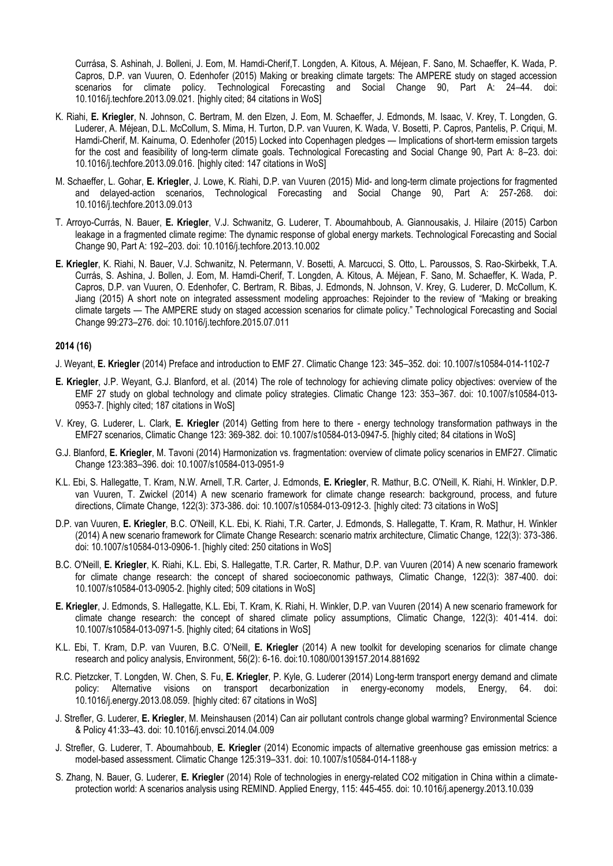Currása, S. Ashinah, J. Bolleni, J. Eom, M. Hamdi-Cherif,T. Longden, A. Kitous, A. Méjean, F. Sano, M. Schaeffer, K. Wada, P. Capros, D.P. van Vuuren, O. Edenhofer (2015) Making or breaking climate targets: The AMPERE study on staged accession scenarios for climate policy. Technological Forecasting and Social Change 90, Part A: 24–44. doi: 10.1016/j.techfore.2013.09.021. [highly cited; 84 citations in WoS]

- K. Riahi, **E. Kriegler**, N. Johnson, C. Bertram, M. den Elzen, J. Eom, M. Schaeffer, J. Edmonds, M. Isaac, V. Krey, T. Longden, G. Luderer, A. Méjean, D.L. McCollum, S. Mima, H. Turton, D.P. van Vuuren, K. Wada, V. Bosetti, P. Capros, Pantelis, P. Criqui, M. Hamdi-Cherif, M. Kainuma, O. Edenhofer (2015) Locked into Copenhagen pledges — Implications of short-term emission targets for the cost and feasibility of long-term climate goals. Technological Forecasting and Social Change 90, Part A: 8–23. doi: 10.1016/j.techfore.2013.09.016. [highly cited: 147 citations in WoS]
- M. Schaeffer, L. Gohar, **E. Kriegler**, J. Lowe, K. Riahi, D.P. van Vuuren (2015) Mid- and long-term climate projections for fragmented and delayed-action scenarios, Technological Forecasting and Social Change 90, Part A: 257-268. doi: 10.1016/j.techfore.2013.09.013
- T. Arroyo-Currás, N. Bauer, **E. Kriegler**, V.J. Schwanitz, G. Luderer, T. Aboumahboub, A. Giannousakis, J. Hilaire (2015) Carbon leakage in a fragmented climate regime: The dynamic response of global energy markets. Technological Forecasting and Social Change 90, Part A: 192–203. doi: 10.1016/j.techfore.2013.10.002
- **E. Kriegler**, K. Riahi, N. Bauer, V.J. Schwanitz, N. Petermann, V. Bosetti, A. Marcucci, S. Otto, L. Paroussos, S. Rao-Skirbekk, T.A. Currás, S. Ashina, J. Bollen, J. Eom, M. Hamdi-Cherif, T. Longden, A. Kitous, A. Méjean, F. Sano, M. Schaeffer, K. Wada, P. Capros, D.P. van Vuuren, O. Edenhofer, C. Bertram, R. Bibas, J. Edmonds, N. Johnson, V. Krey, G. Luderer, D. McCollum, K. Jiang (2015) A short note on integrated assessment modeling approaches: Rejoinder to the review of "Making or breaking climate targets — The AMPERE study on staged accession scenarios for climate policy." Technological Forecasting and Social Change 99:273–276. doi: 10.1016/j.techfore.2015.07.011

#### **2014 (16)**

J. Weyant, **E. Kriegler** (2014) Preface and introduction to EMF 27. Climatic Change 123: 345–352. doi: 10.1007/s10584-014-1102-7

- **E. Kriegler**, J.P. Weyant, G.J. Blanford, et al. (2014) The role of technology for achieving climate policy objectives: overview of the EMF 27 study on global technology and climate policy strategies. Climatic Change 123: 353–367. doi: 10.1007/s10584-013- 0953-7. [highly cited; 187 citations in WoS]
- V. Krey, G. Luderer, L. Clark, **E. Kriegler** (2014) Getting from here to there energy technology transformation pathways in the EMF27 scenarios, Climatic Change 123: 369-382. doi: 10.1007/s10584-013-0947-5. [highly cited; 84 citations in WoS]
- G.J. Blanford, **E. Kriegler**, M. Tavoni (2014) Harmonization vs. fragmentation: overview of climate policy scenarios in EMF27. Climatic Change 123:383–396. doi: 10.1007/s10584-013-0951-9
- K.L. Ebi, S. Hallegatte, T. Kram, N.W. Arnell, T.R. Carter, J. Edmonds, **E. Kriegler**, R. Mathur, B.C. O'Neill, K. Riahi, H. Winkler, D.P. van Vuuren, T. Zwickel (2014) A new scenario framework for climate change research: background, process, and future directions, Climate Change, 122(3): 373-386. doi: 10.1007/s10584-013-0912-3. [highly cited: 73 citations in WoS]
- D.P. van Vuuren, **E. Kriegler**, B.C. O'Neill, K.L. Ebi, K. Riahi, T.R. Carter, J. Edmonds, S. Hallegatte, T. Kram, R. Mathur, H. Winkler (2014) A new scenario framework for Climate Change Research: scenario matrix architecture, Climatic Change, 122(3): 373-386. doi: 10.1007/s10584-013-0906-1. [highly cited: 250 citations in WoS]
- B.C. O'Neill, **E. Kriegler**, K. Riahi, K.L. Ebi, S. Hallegatte, T.R. Carter, R. Mathur, D.P. van Vuuren (2014) A new scenario framework for climate change research: the concept of shared socioeconomic pathways, Climatic Change, 122(3): 387-400. doi: 10.1007/s10584-013-0905-2. [highly cited; 509 citations in WoS]
- **E. Kriegler**, J. Edmonds, S. Hallegatte, K.L. Ebi, T. Kram, K. Riahi, H. Winkler, D.P. van Vuuren (2014) A new scenario framework for climate change research: the concept of shared climate policy assumptions, Climatic Change, 122(3): 401-414. doi: 10.1007/s10584-013-0971-5. [highly cited; 64 citations in WoS]
- K.L. Ebi, T. Kram, D.P. van Vuuren, B.C. O'Neill, **E. Kriegler** (2014) A new toolkit for developing scenarios for climate change research and policy analysis, Environment, 56(2): 6-16. doi:10.1080/00139157.2014.881692
- R.C. Pietzcker, T. Longden, W. Chen, S. Fu, **E. Kriegler**, P. Kyle, G. Luderer (2014) Long-term transport energy demand and climate policy: Alternative visions on transport decarbonization in energy-economy models, Energy, 64. doi: 10.1016/j.energy.2013.08.059. [highly cited: 67 citations in WoS]
- J. Strefler, G. Luderer, **E. Kriegler**, M. Meinshausen (2014) Can air pollutant controls change global warming? Environmental Science & Policy 41:33–43. doi: 10.1016/j.envsci.2014.04.009
- J. Strefler, G. Luderer, T. Aboumahboub, **E. Kriegler** (2014) Economic impacts of alternative greenhouse gas emission metrics: a model-based assessment. Climatic Change 125:319–331. doi: 10.1007/s10584-014-1188-y
- S. Zhang, N. Bauer, G. Luderer, **E. Kriegler** (2014) Role of technologies in energy-related CO2 mitigation in China within a climateprotection world: A scenarios analysis using REMIND. Applied Energy, 115: 445-455. doi: 10.1016/j.apenergy.2013.10.039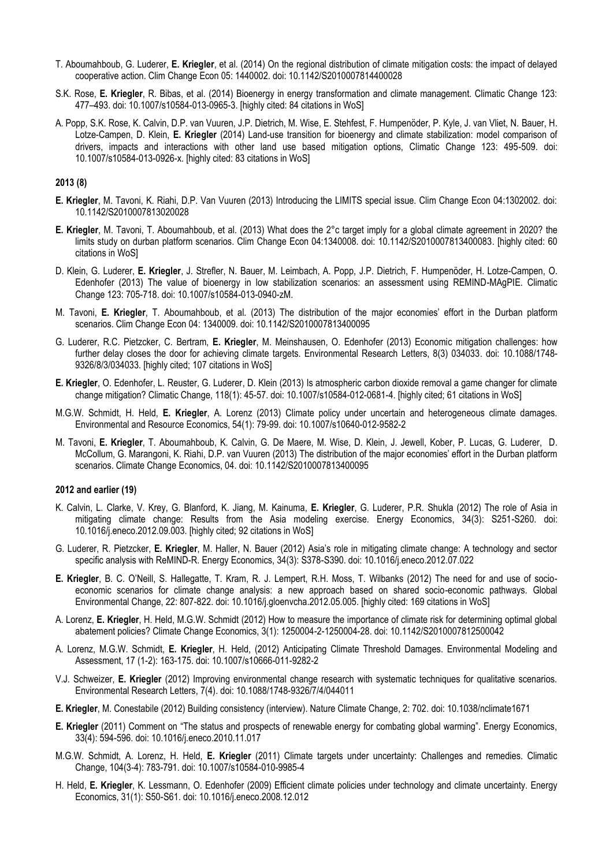- T. Aboumahboub, G. Luderer, **E. Kriegler**, et al. (2014) On the regional distribution of climate mitigation costs: the impact of delayed cooperative action. Clim Change Econ 05: 1440002. doi: 10.1142/S2010007814400028
- S.K. Rose, **E. Kriegler**, R. Bibas, et al. (2014) Bioenergy in energy transformation and climate management. Climatic Change 123: 477–493. doi: 10.1007/s10584-013-0965-3. [highly cited: 84 citations in WoS]
- A. Popp, S.K. Rose, K. Calvin, D.P. van Vuuren, J.P. Dietrich, M. Wise, E. Stehfest, F. Humpenöder, P. Kyle, J. van Vliet, N. Bauer, H. Lotze-Campen, D. Klein, **E. Kriegler** (2014) Land-use transition for bioenergy and climate stabilization: model comparison of drivers, impacts and interactions with other land use based mitigation options, Climatic Change 123: 495-509. doi: 10.1007/s10584-013-0926-x. [highly cited: 83 citations in WoS]

#### **2013 (8)**

- **E. Kriegler**, M. Tavoni, K. Riahi, D.P. Van Vuuren (2013) Introducing the LIMITS special issue. Clim Change Econ 04:1302002. doi: 10.1142/S2010007813020028
- **E. Kriegler**, M. Tavoni, T. Aboumahboub, et al. (2013) What does the 2°c target imply for a global climate agreement in 2020? the limits study on durban platform scenarios. Clim Change Econ 04:1340008. doi: 10.1142/S2010007813400083. [highly cited: 60 citations in WoS]
- D. Klein, G. Luderer, **E. Kriegler**, J. Strefler, N. Bauer, M. Leimbach, A. Popp, J.P. Dietrich, F. Humpenöder, H. Lotze-Campen, O. Edenhofer (2013) The value of bioenergy in low stabilization scenarios: an assessment using REMIND-MAgPIE. Climatic Change 123: 705-718. doi: 10.1007/s10584-013-0940-zM.
- M. Tavoni, **E. Kriegler**, T. Aboumahboub, et al. (2013) The distribution of the major economies' effort in the Durban platform scenarios. Clim Change Econ 04: 1340009. doi: 10.1142/S2010007813400095
- G. Luderer, R.C. Pietzcker, C. Bertram, **E. Kriegler**, M. Meinshausen, O. Edenhofer (2013) Economic mitigation challenges: how further delay closes the door for achieving climate targets. Environmental Research Letters, 8(3) 034033. doi: 10.1088/1748- 9326/8/3/034033. [highly cited; 107 citations in WoS]
- **E. Kriegler**, O. Edenhofer, L. Reuster, G. Luderer, D. Klein (2013) Is atmospheric carbon dioxide removal a game changer for climate change mitigation? Climatic Change, 118(1): 45-57. doi: 10.1007/s10584-012-0681-4. [highly cited; 61 citations in WoS]
- M.G.W. Schmidt, H. Held, **E. Kriegler**, A. Lorenz (2013) Climate policy under uncertain and heterogeneous climate damages. Environmental and Resource Economics, 54(1): 79-99. doi: 10.1007/s10640-012-9582-2
- M. Tavoni, **E. Kriegler**, T. Aboumahboub, K. Calvin, G. De Maere, M. Wise, D. Klein, J. Jewell, Kober, P. Lucas, G. Luderer, D. McCollum, G. Marangoni, K. Riahi, D.P. van Vuuren (2013) The distribution of the major economies' effort in the Durban platform scenarios. Climate Change Economics, 04. doi: 10.1142/S2010007813400095

#### **2012 and earlier (19)**

- K. Calvin, L. Clarke, V. Krey, G. Blanford, K. Jiang, M. Kainuma, **E. Kriegler**, G. Luderer, P.R. Shukla (2012) The role of Asia in mitigating climate change: Results from the Asia modeling exercise. Energy Economics, 34(3): S251-S260. doi: 10.1016/j.eneco.2012.09.003. [highly cited; 92 citations in WoS]
- G. Luderer, R. Pietzcker, **E. Kriegler**, M. Haller, N. Bauer (2012) Asia's role in mitigating climate change: A technology and sector specific analysis with ReMIND-R. Energy Economics, 34(3): S378-S390. doi: 10.1016/j.eneco.2012.07.022
- **E. Kriegler**, B. C. O'Neill, S. Hallegatte, T. Kram, R. J. Lempert, R.H. Moss, T. Wilbanks (2012) The need for and use of socioeconomic scenarios for climate change analysis: a new approach based on shared socio-economic pathways. Global Environmental Change, 22: 807-822. doi: 10.1016/j.gloenvcha.2012.05.005. [highly cited: 169 citations in WoS]
- A. Lorenz, **E. Kriegler**, H. Held, M.G.W. Schmidt (2012) How to measure the importance of climate risk for determining optimal global abatement policies? Climate Change Economics, 3(1): 1250004-2-1250004-28. doi: 10.1142/S2010007812500042
- A. Lorenz, M.G.W. Schmidt, **E. Kriegler**, H. Held, (2012) Anticipating Climate Threshold Damages. Environmental Modeling and Assessment, 17 (1-2): 163-175. doi: 10.1007/s10666-011-9282-2
- V.J. Schweizer, **E. Kriegler** (2012) Improving environmental change research with systematic techniques for qualitative scenarios. Environmental Research Letters, 7(4). doi: 10.1088/1748-9326/7/4/044011
- **E. Kriegler**, M. Conestabile (2012) Building consistency (interview). Nature Climate Change, 2: 702. doi: 10.1038/nclimate1671
- **E. Kriegler** (2011) Comment on "The status and prospects of renewable energy for combating global warming". Energy Economics, 33(4): 594-596. doi: 10.1016/j.eneco.2010.11.017
- M.G.W. Schmidt, A. Lorenz, H. Held, **E. Kriegler** (2011) Climate targets under uncertainty: Challenges and remedies. Climatic Change, 104(3-4): 783-791. doi: 10.1007/s10584-010-9985-4
- H. Held, **E. Kriegler**, K. Lessmann, O. Edenhofer (2009) Efficient climate policies under technology and climate uncertainty. Energy Economics, 31(1): S50-S61. doi: 10.1016/j.eneco.2008.12.012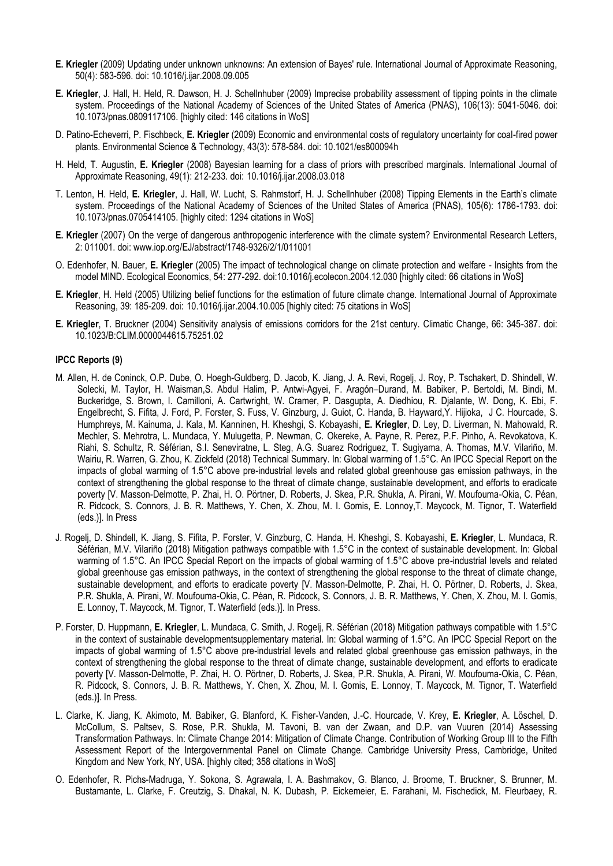- **E. Kriegler** (2009) Updating under unknown unknowns: An extension of Bayes' rule. International Journal of Approximate Reasoning, 50(4): 583-596. doi: 10.1016/j.ijar.2008.09.005
- **E. Kriegler**, J. Hall, H. Held, R. Dawson, H. J. Schellnhuber (2009) Imprecise probability assessment of tipping points in the climate system. Proceedings of the National Academy of Sciences of the United States of America (PNAS), 106(13): 5041-5046. doi: 10.1073/pnas.0809117106. [highly cited: 146 citations in WoS]
- D. Patino-Echeverri, P. Fischbeck, **E. Kriegler** (2009) Economic and environmental costs of regulatory uncertainty for coal-fired power plants. Environmental Science & Technology, 43(3): 578-584. doi: 10.1021/es800094h
- H. Held, T. Augustin, **E. Kriegler** (2008) Bayesian learning for a class of priors with prescribed marginals. International Journal of Approximate Reasoning, 49(1): 212-233. doi: 10.1016/j.ijar.2008.03.018
- T. Lenton, H. Held, **E. Kriegler**, J. Hall, W. Lucht, S. Rahmstorf, H. J. Schellnhuber (2008) Tipping Elements in the Earth's climate system. Proceedings of the National Academy of Sciences of the United States of America (PNAS), 105(6): 1786-1793. doi: 10.1073/pnas.0705414105. [highly cited: 1294 citations in WoS]
- **E. Kriegler** (2007) On the verge of dangerous anthropogenic interference with the climate system? Environmental Research Letters, 2: 011001. doi: www.iop.org/EJ/abstract/1748-9326/2/1/011001
- O. Edenhofer, N. Bauer, **E. Kriegler** (2005) The impact of technological change on climate protection and welfare Insights from the model MIND. Ecological Economics, 54: 277-292. doi:10.1016/j.ecolecon.2004.12.030 [highly cited: 66 citations in WoS]
- **E. Kriegler**, H. Held (2005) Utilizing belief functions for the estimation of future climate change. International Journal of Approximate Reasoning, 39: 185-209. doi: 10.1016/j.ijar.2004.10.005 [highly cited: 75 citations in WoS]
- **E. Kriegler**, T. Bruckner (2004) Sensitivity analysis of emissions corridors for the 21st century. Climatic Change, 66: 345-387. doi: 10.1023/B:CLIM.0000044615.75251.02

# **IPCC Reports (9)**

- M. Allen, H. de Coninck, O.P. Dube, O. Hoegh-Guldberg, D. Jacob, K. Jiang, J. A. Revi, Rogelj, J. Roy, P. Tschakert, D. Shindell, W. Solecki, M. Taylor, H. Waisman,S. Abdul Halim, P. Antwi-Agyei, F. Aragón–Durand, M. Babiker, P. Bertoldi, M. Bindi, M. Buckeridge, S. Brown, I. Camilloni, A. Cartwright, W. Cramer, P. Dasgupta, A. Diedhiou, R. Djalante, W. Dong, K. Ebi, F. Engelbrecht, S. Fifita, J. Ford, P. Forster, S. Fuss, V. Ginzburg, J. Guiot, C. Handa, B. Hayward,Y. Hijioka, J C. Hourcade, S. Humphreys, M. Kainuma, J. Kala, M. Kanninen, H. Kheshgi, S. Kobayashi, **E. Kriegler**, D. Ley, D. Liverman, N. Mahowald, R. Mechler, S. Mehrotra, L. Mundaca, Y. Mulugetta, P. Newman, C. Okereke, A. Payne, R. Perez, P.F. Pinho, A. Revokatova, K. Riahi, S. Schultz, R. Séférian, S.I. Seneviratne, L. Steg, A.G. Suarez Rodriguez, T. Sugiyama, A. Thomas, M.V. Vilariño, M. Wairiu, R. Warren, G. Zhou, K. Zickfeld (2018) Technical Summary. In: Global warming of 1.5°C. An IPCC Special Report on the impacts of global warming of 1.5°C above pre-industrial levels and related global greenhouse gas emission pathways, in the context of strengthening the global response to the threat of climate change, sustainable development, and efforts to eradicate poverty [V. Masson-Delmotte, P. Zhai, H. O. Pörtner, D. Roberts, J. Skea, P.R. Shukla, A. Pirani, W. Moufouma-Okia, C. Péan, R. Pidcock, S. Connors, J. B. R. Matthews, Y. Chen, X. Zhou, M. I. Gomis, E. Lonnoy,T. Maycock, M. Tignor, T. Waterfield (eds.)]. In Press
- J. Rogelj, D. Shindell, K. Jiang, S. Fifita, P. Forster, V. Ginzburg, C. Handa, H. Kheshgi, S. Kobayashi, **E. Kriegler**, L. Mundaca, R. Séférian, M.V. Vilariño (2018) Mitigation pathways compatible with 1.5°C in the context of sustainable development. In: Global warming of 1.5°C. An IPCC Special Report on the impacts of global warming of 1.5°C above pre-industrial levels and related global greenhouse gas emission pathways, in the context of strengthening the global response to the threat of climate change, sustainable development, and efforts to eradicate poverty [V. Masson-Delmotte, P. Zhai, H. O. Pörtner, D. Roberts, J. Skea, P.R. Shukla, A. Pirani, W. Moufouma-Okia, C. Péan, R. Pidcock, S. Connors, J. B. R. Matthews, Y. Chen, X. Zhou, M. I. Gomis, E. Lonnoy, T. Maycock, M. Tignor, T. Waterfield (eds.)]. In Press.
- P. Forster, D. Huppmann, **E. Kriegler**, L. Mundaca, C. Smith, J. Rogelj, R. Séférian (2018) Mitigation pathways compatible with 1.5°C in the context of sustainable developmentsupplementary material. In: Global warming of 1.5°C. An IPCC Special Report on the impacts of global warming of 1.5°C above pre-industrial levels and related global greenhouse gas emission pathways, in the context of strengthening the global response to the threat of climate change, sustainable development, and efforts to eradicate poverty [V. Masson-Delmotte, P. Zhai, H. O. Pörtner, D. Roberts, J. Skea, P.R. Shukla, A. Pirani, W. Moufouma-Okia, C. Péan, R. Pidcock, S. Connors, J. B. R. Matthews, Y. Chen, X. Zhou, M. I. Gomis, E. Lonnoy, T. Maycock, M. Tignor, T. Waterfield (eds.)]. In Press.
- L. Clarke, K. Jiang, K. Akimoto, M. Babiker, G. Blanford, K. Fisher-Vanden, J.-C. Hourcade, V. Krey, **E. Kriegler**, A. Löschel, D. McCollum, S. Paltsev, S. Rose, P.R. Shukla, M. Tavoni, B. van der Zwaan, and D.P. van Vuuren (2014) Assessing Transformation Pathways. In: Climate Change 2014: Mitigation of Climate Change. Contribution of Working Group III to the Fifth Assessment Report of the Intergovernmental Panel on Climate Change. Cambridge University Press, Cambridge, United Kingdom and New York, NY, USA. [highly cited; 358 citations in WoS]
- O. Edenhofer, R. Pichs-Madruga, Y. Sokona, S. Agrawala, I. A. Bashmakov, G. Blanco, J. Broome, T. Bruckner, S. Brunner, M. Bustamante, L. Clarke, F. Creutzig, S. Dhakal, N. K. Dubash, P. Eickemeier, E. Farahani, M. Fischedick, M. Fleurbaey, R.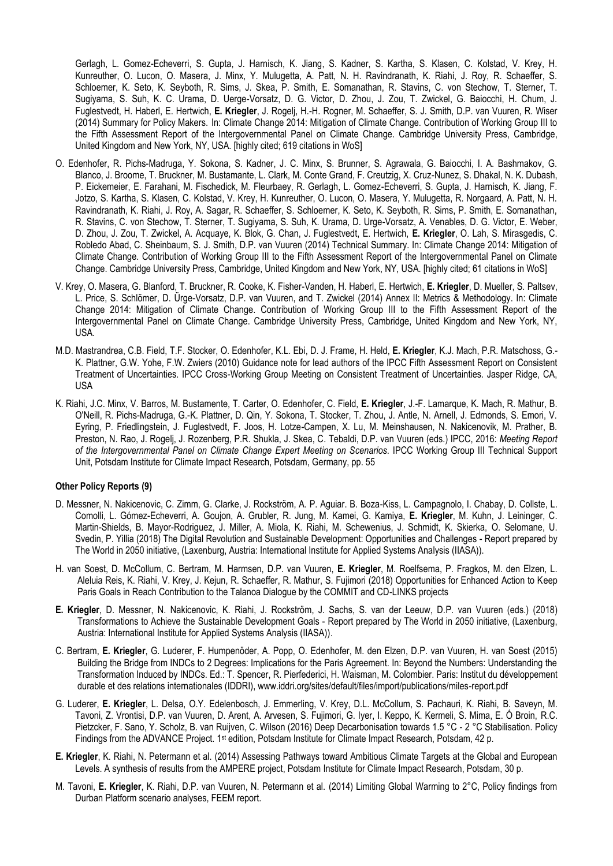Gerlagh, L. Gomez-Echeverri, S. Gupta, J. Harnisch, K. Jiang, S. Kadner, S. Kartha, S. Klasen, C. Kolstad, V. Krey, H. Kunreuther, O. Lucon, O. Masera, J. Minx, Y. Mulugetta, A. Patt, N. H. Ravindranath, K. Riahi, J. Roy, R. Schaeffer, S. Schloemer, K. Seto, K. Seyboth, R. Sims, J. Skea, P. Smith, E. Somanathan, R. Stavins, C. von Stechow, T. Sterner, T. Sugiyama, S. Suh, K. C. Urama, D. Uerge-Vorsatz, D. G. Victor, D. Zhou, J. Zou, T. Zwickel, G. Baiocchi, H. Chum, J. Fuglestvedt, H. Haberl, E. Hertwich, **E. Kriegler**, J. Rogelj, H.-H. Rogner, M. Schaeffer, S. J. Smith, D.P. van Vuuren, R. Wiser (2014) Summary for Policy Makers. In: Climate Change 2014: Mitigation of Climate Change. Contribution of Working Group III to the Fifth Assessment Report of the Intergovernmental Panel on Climate Change. Cambridge University Press, Cambridge, United Kingdom and New York, NY, USA. [highly cited; 619 citations in WoS]

- O. Edenhofer, R. Pichs-Madruga, Y. Sokona, S. Kadner, J. C. Minx, S. Brunner, S. Agrawala, G. Baiocchi, I. A. Bashmakov, G. Blanco, J. Broome, T. Bruckner, M. Bustamante, L. Clark, M. Conte Grand, F. Creutzig, X. Cruz-Nunez, S. Dhakal, N. K. Dubash, P. Eickemeier, E. Farahani, M. Fischedick, M. Fleurbaey, R. Gerlagh, L. Gomez-Echeverri, S. Gupta, J. Harnisch, K. Jiang, F. Jotzo, S. Kartha, S. Klasen, C. Kolstad, V. Krey, H. Kunreuther, O. Lucon, O. Masera, Y. Mulugetta, R. Norgaard, A. Patt, N. H. Ravindranath, K. Riahi, J. Roy, A. Sagar, R. Schaeffer, S. Schloemer, K. Seto, K. Seyboth, R. Sims, P. Smith, E. Somanathan, R. Stavins, C. von Stechow, T. Sterner, T. Sugiyama, S. Suh, K. Urama, D. Urge-Vorsatz, A. Venables, D. G. Victor, E. Weber, D. Zhou, J. Zou, T. Zwickel, A. Acquaye, K. Blok, G. Chan, J. Fuglestvedt, E. Hertwich, **E. Kriegler**, O. Lah, S. Mirasgedis, C. Robledo Abad, C. Sheinbaum, S. J. Smith, D.P. van Vuuren (2014) Technical Summary. In: Climate Change 2014: Mitigation of Climate Change. Contribution of Working Group III to the Fifth Assessment Report of the Intergovernmental Panel on Climate Change. Cambridge University Press, Cambridge, United Kingdom and New York, NY, USA. [highly cited; 61 citations in WoS]
- V. Krey, O. Masera, G. Blanford, T. Bruckner, R. Cooke, K. Fisher-Vanden, H. Haberl, E. Hertwich, **E. Kriegler**, D. Mueller, S. Paltsev, L. Price, S. Schlömer, D. Ürge-Vorsatz, D.P. van Vuuren, and T. Zwickel (2014) Annex II: Metrics & Methodology. In: Climate Change 2014: Mitigation of Climate Change. Contribution of Working Group III to the Fifth Assessment Report of the Intergovernmental Panel on Climate Change. Cambridge University Press, Cambridge, United Kingdom and New York, NY, USA.
- M.D. Mastrandrea, C.B. Field, T.F. Stocker, O. Edenhofer, K.L. Ebi, D. J. Frame, H. Held, **E. Kriegler**, K.J. Mach, P.R. Matschoss, G.- K. Plattner, G.W. Yohe, F.W. Zwiers (2010) Guidance note for lead authors of the IPCC Fifth Assessment Report on Consistent Treatment of Uncertainties. IPCC Cross-Working Group Meeting on Consistent Treatment of Uncertainties. Jasper Ridge, CA, USA
- K. Riahi, J.C. Minx, V. Barros, M. Bustamente, T. Carter, O. Edenhofer, C. Field, **E. Kriegler**, J.-F. Lamarque, K. Mach, R. Mathur, B. O'Neill, R. Pichs-Madruga, G.-K. Plattner, D. Qin, Y. Sokona, T. Stocker, T. Zhou, J. Antle, N. Arnell, J. Edmonds, S. Emori, V. Eyring, P. Friedlingstein, J. Fuglestvedt, F. Joos, H. Lotze-Campen, X. Lu, M. Meinshausen, N. Nakicenovik, M. Prather, B. Preston, N. Rao, J. Rogelj, J. Rozenberg, P.R. Shukla, J. Skea, C. Tebaldi, D.P. van Vuuren (eds.) IPCC, 2016: *Meeting Report of the Intergovernmental Panel on Climate Change Expert Meeting on Scenarios*. IPCC Working Group III Technical Support Unit, Potsdam Institute for Climate Impact Research, Potsdam, Germany, pp. 55

# **Other Policy Reports (9)**

- D. Messner, N. Nakicenovic, C. Zimm, G. Clarke, J. Rockström, A. P. Aguiar. B. Boza-Kiss, L. Campagnolo, I. Chabay, D. Collste, L. Comolli, L. Gómez-Echeverri, A. Goujon, A. Grubler, R. Jung, M. Kamei, G. Kamiya, **E. Kriegler**, M. Kuhn, J. Leininger, C. Martin-Shields, B. Mayor-Rodriguez, J. Miller, A. Miola, K. Riahi, M. Schewenius, J. Schmidt, K. Skierka, O. Selomane, U. Svedin, P. Yillia (2018) The Digital Revolution and Sustainable Development: Opportunities and Challenges - Report prepared by The World in 2050 initiative, (Laxenburg, Austria: International Institute for Applied Systems Analysis (IIASA)).
- H. van Soest, D. McCollum, C. Bertram, M. Harmsen, D.P. van Vuuren, **E. Kriegler**, M. Roelfsema, P. Fragkos, M. den Elzen, L. Aleluia Reis, K. Riahi, V. Krey, J. Kejun, R. Schaeffer, R. Mathur, S. Fujimori (2018) Opportunities for Enhanced Action to Keep Paris Goals in Reach Contribution to the Talanoa Dialogue by the COMMIT and CD-LINKS projects
- **E. Kriegler**, D. Messner, N. Nakicenovic, K. Riahi, J. Rockström, J. Sachs, S. van der Leeuw, D.P. van Vuuren (eds.) (2018) Transformations to Achieve the Sustainable Development Goals - Report prepared by The World in 2050 initiative, (Laxenburg, Austria: International Institute for Applied Systems Analysis (IIASA)).
- C. Bertram, **E. Kriegler**, G. Luderer, F. Humpenöder, A. Popp, O. Edenhofer, M. den Elzen, D.P. van Vuuren, H. van Soest (2015) Building the Bridge from INDCs to 2 Degrees: Implications for the Paris Agreement. In: Beyond the Numbers: Understanding the Transformation Induced by INDCs. Ed.: T. Spencer, R. Pierfederici, H. Waisman, M. Colombier. Paris: Institut du développement durable et des relations internationales (IDDRI), www.iddri.org/sites/default/files/import/publications/miles-report.pdf
- G. Luderer, **E. Kriegler**, L. Delsa, O.Y. Edelenbosch, J. Emmerling, V. Krey, D.L. McCollum, S. Pachauri, K. Riahi, B. Saveyn, M. Tavoni, Z. Vrontisi, D.P. van Vuuren, D. Arent, A. Arvesen, S. Fujimori, G. Iyer, I. Keppo, K. Kermeli, S. Mima, E. Ó Broin, R.C. Pietzcker, F. Sano, Y. Scholz, B. van Ruijven, C. Wilson (2016) Deep Decarbonisation towards 1.5 °C - 2 °C Stabilisation. Policy Findings from the ADVANCE Project. 1<sup>st</sup> edition, Potsdam Institute for Climate Impact Research, Potsdam, 42 p.
- **E. Kriegler**, K. Riahi, N. Petermann et al. (2014) Assessing Pathways toward Ambitious Climate Targets at the Global and European Levels. A synthesis of results from the AMPERE project, Potsdam Institute for Climate Impact Research, Potsdam, 30 p.
- M. Tavoni, **E. Kriegler**, K. Riahi, D.P. van Vuuren, N. Petermann et al. (2014) Limiting Global Warming to 2°C, Policy findings from Durban Platform scenario analyses, FEEM report.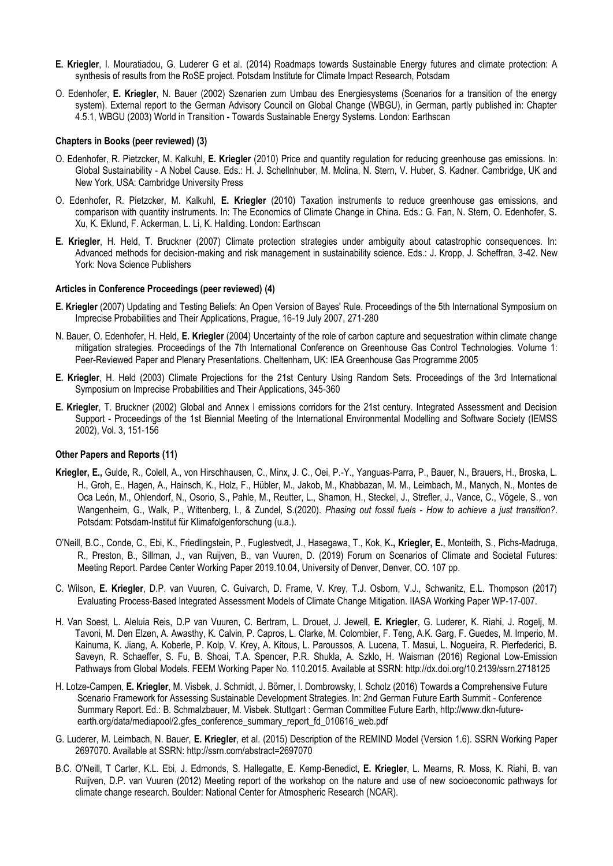- **E. Kriegler**, I. Mouratiadou, G. Luderer G et al. (2014) Roadmaps towards Sustainable Energy futures and climate protection: A synthesis of results from the RoSE project. Potsdam Institute for Climate Impact Research, Potsdam
- O. Edenhofer, **E. Kriegler**, N. Bauer (2002) Szenarien zum Umbau des Energiesystems (Scenarios for a transition of the energy system). External report to the German Advisory Council on Global Change (WBGU), in German, partly published in: Chapter 4.5.1, WBGU (2003) World in Transition - Towards Sustainable Energy Systems. London: Earthscan

# **Chapters in Books (peer reviewed) (3)**

- O. Edenhofer, R. Pietzcker, M. Kalkuhl, **E. Kriegler** (2010) Price and quantity regulation for reducing greenhouse gas emissions. In: Global Sustainability - A Nobel Cause. Eds.: H. J. Schellnhuber, M. Molina, N. Stern, V. Huber, S. Kadner. Cambridge, UK and New York, USA: Cambridge University Press
- O. Edenhofer, R. Pietzcker, M. Kalkuhl, **E. Kriegler** (2010) Taxation instruments to reduce greenhouse gas emissions, and comparison with quantity instruments. In: The Economics of Climate Change in China. Eds.: G. Fan, N. Stern, O. Edenhofer, S. Xu, K. Eklund, F. Ackerman, L. Li, K. Hallding. London: Earthscan
- **E. Kriegler**, H. Held, T. Bruckner (2007) Climate protection strategies under ambiguity about catastrophic consequences. In: Advanced methods for decision-making and risk management in sustainability science. Eds.: J. Kropp, J. Scheffran, 3-42. New York: Nova Science Publishers

# **Articles in Conference Proceedings (peer reviewed) (4)**

- **E. Kriegler** (2007) Updating and Testing Beliefs: An Open Version of Bayes' Rule. Proceedings of the 5th International Symposium on Imprecise Probabilities and Their Applications, Prague, 16-19 July 2007, 271-280
- N. Bauer, O. Edenhofer, H. Held, **E. Kriegler** (2004) Uncertainty of the role of carbon capture and sequestration within climate change mitigation strategies. Proceedings of the 7th International Conference on Greenhouse Gas Control Technologies. Volume 1: Peer-Reviewed Paper and Plenary Presentations. Cheltenham, UK: IEA Greenhouse Gas Programme 2005
- **E. Kriegler**, H. Held (2003) Climate Projections for the 21st Century Using Random Sets. Proceedings of the 3rd International Symposium on Imprecise Probabilities and Their Applications, 345-360
- **E. Kriegler**, T. Bruckner (2002) Global and Annex I emissions corridors for the 21st century. Integrated Assessment and Decision Support - Proceedings of the 1st Biennial Meeting of the International Environmental Modelling and Software Society (IEMSS 2002), Vol. 3, 151-156

# **Other Papers and Reports (11)**

- **Kriegler, E.,** Gulde, R., Colell, A., von Hirschhausen, C., Minx, J. C., Oei, P.-Y., Yanguas-Parra, P., Bauer, N., Brauers, H., Broska, L. H., Groh, E., Hagen, A., Hainsch, K., Holz, F., Hübler, M., Jakob, M., Khabbazan, M. M., Leimbach, M., Manych, N., Montes de Oca León, M., Ohlendorf, N., Osorio, S., Pahle, M., Reutter, L., Shamon, H., Steckel, J., Strefler, J., Vance, C., Vögele, S., von Wangenheim, G., Walk, P., Wittenberg, I., & Zundel, S.(2020). *Phasing out fossil fuels - How to achieve a just transition?*. Potsdam: Potsdam-Institut für Klimafolgenforschung (u.a.).
- O'Neill, B.C., Conde, C., Ebi, K., Friedlingstein, P., Fuglestvedt, J., Hasegawa, T., Kok, K**., Kriegler, E.**, Monteith, S., Pichs-Madruga, R., Preston, B., Sillman, J., van Ruijven, B., van Vuuren, D. (2019) Forum on Scenarios of Climate and Societal Futures: Meeting Report. Pardee Center Working Paper 2019.10.04, University of Denver, Denver, CO. 107 pp.
- C. Wilson, **E. Kriegler**, D.P. van Vuuren, C. Guivarch, D. Frame, V. Krey, T.J. Osborn, V.J., Schwanitz, E.L. Thompson (2017) Evaluating Process-Based Integrated Assessment Models of Climate Change Mitigation. IIASA Working Paper WP-17-007.
- H. Van Soest, L. Aleluia Reis, D.P van Vuuren, C. Bertram, L. Drouet, J. Jewell, **E. Kriegler**, G. Luderer, K. Riahi, J. Rogelj, M. Tavoni, M. Den Elzen, A. Awasthy, K. Calvin, P. Capros, L. Clarke, M. Colombier, F. Teng, A.K. Garg, F. Guedes, M. Imperio, M. Kainuma, K. Jiang, A. Koberle, P. Kolp, V. Krey, A. Kitous, L. Paroussos, A. Lucena, T. Masui, L. Nogueira, R. Pierfederici, B. Saveyn, R. Schaeffer, S. Fu, B. Shoai, T.A. Spencer, P.R. Shukla, A. Szklo, H. Waisman (2016) Regional Low-Emission Pathways from Global Models. FEEM Working Paper No. 110.2015. Available at SSRN:<http://dx.doi.org/10.2139/ssrn.2718125>
- H. Lotze-Campen, **E. Kriegler**, M. Visbek, J. Schmidt, J. Börner, I. Dombrowsky, I. Scholz (2016) Towards a Comprehensive Future Scenario Framework for Assessing Sustainable Development Strategies. In: 2nd German Future Earth Summit - Conference Summary Report. Ed.: B. Schmalzbauer, M. Visbek. Stuttgart : German Committee Future Earth, http://www.dkn-futureearth.org/data/mediapool/2.gfes\_conference\_summary\_report\_fd\_010616\_web.pdf
- G. Luderer, M. Leimbach, N. Bauer, **E. Kriegler**, et al. (2015) Description of the REMIND Model (Version 1.6). SSRN Working Paper 2697070. Available at SSRN[: http://ssrn.com/abstract=2697070](http://ssrn.com/abstract=2697070)
- B.C. O'Neill, T Carter, K.L. Ebi, J. Edmonds, S. Hallegatte, E. Kemp-Benedict, **E. Kriegler**, L. Mearns, R. Moss, K. Riahi, B. van Ruijven, D.P. van Vuuren (2012) Meeting report of the workshop on the nature and use of new socioeconomic pathways for climate change research. Boulder: National Center for Atmospheric Research (NCAR).